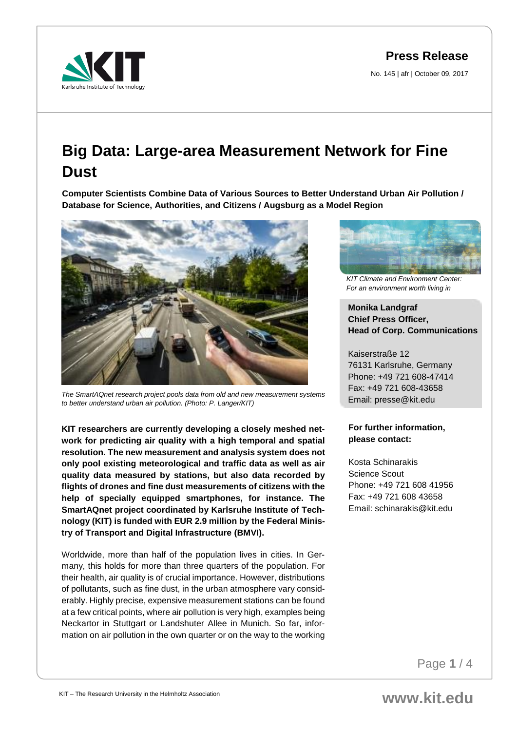No. 145 | afr | October 09, 2017



# **Big Data: Large-area Measurement Network for Fine Dust**

**Computer Scientists Combine Data of Various Sources to Better Understand Urban Air Pollution / Database for Science, Authorities, and Citizens / Augsburg as a Model Region** 



*The SmartAQnet research project pools data from old and new measurement systems to better understand urban air pollution. (Photo: P. Langer/KIT)*

**KIT researchers are currently developing a closely meshed network for predicting air quality with a high temporal and spatial resolution. The new measurement and analysis system does not only pool existing meteorological and traffic data as well as air quality data measured by stations, but also data recorded by flights of drones and fine dust measurements of citizens with the help of specially equipped smartphones, for instance. The SmartAQnet project coordinated by Karlsruhe Institute of Technology (KIT) is funded with EUR 2.9 million by the Federal Ministry of Transport and Digital Infrastructure (BMVI).**

Worldwide, more than half of the population lives in cities. In Germany, this holds for more than three quarters of the population. For their health, air quality is of crucial importance. However, distributions of pollutants, such as fine dust, in the urban atmosphere vary considerably. Highly precise, expensive measurement stations can be found at a few critical points, where air pollution is very high, examples being Neckartor in Stuttgart or Landshuter Allee in Munich. So far, information on air pollution in the own quarter or on the way to the working



*KIT Climate and Environment Center: For an environment worth living in*

## **Monika Landgraf Chief Press Officer, Head of Corp. Communications**

Kaiserstraße 12 76131 Karlsruhe, Germany Phone: +49 721 608-47414 Fax: +49 721 608-43658 Email: presse@kit.edu

### **For further information, please contact:**

Kosta Schinarakis Science Scout Phone: +49 721 608 41956 Fax: +49 721 608 43658 Email: schinarakis@kit.edu

Page **1** / 4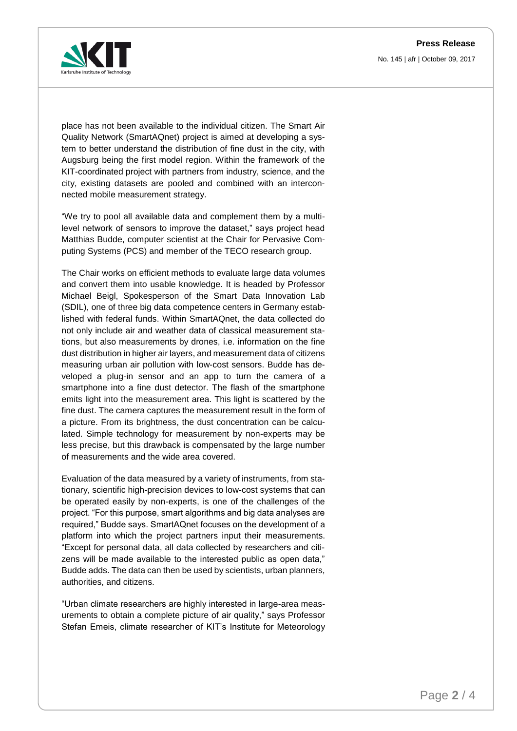No. 145 | afr | October 09, 2017



place has not been available to the individual citizen. The Smart Air Quality Network (SmartAQnet) project is aimed at developing a system to better understand the distribution of fine dust in the city, with Augsburg being the first model region. Within the framework of the KIT-coordinated project with partners from industry, science, and the city, existing datasets are pooled and combined with an interconnected mobile measurement strategy.

"We try to pool all available data and complement them by a multilevel network of sensors to improve the dataset," says project head Matthias Budde, computer scientist at the Chair for Pervasive Computing Systems (PCS) and member of the TECO research group.

The Chair works on efficient methods to evaluate large data volumes and convert them into usable knowledge. It is headed by Professor Michael Beigl, Spokesperson of the Smart Data Innovation Lab (SDIL), one of three big data competence centers in Germany established with federal funds. Within SmartAQnet, the data collected do not only include air and weather data of classical measurement stations, but also measurements by drones, i.e. information on the fine dust distribution in higher air layers, and measurement data of citizens measuring urban air pollution with low-cost sensors. Budde has developed a plug-in sensor and an app to turn the camera of a smartphone into a fine dust detector. The flash of the smartphone emits light into the measurement area. This light is scattered by the fine dust. The camera captures the measurement result in the form of a picture. From its brightness, the dust concentration can be calculated. Simple technology for measurement by non-experts may be less precise, but this drawback is compensated by the large number of measurements and the wide area covered.

Evaluation of the data measured by a variety of instruments, from stationary, scientific high-precision devices to low-cost systems that can be operated easily by non-experts, is one of the challenges of the project. "For this purpose, smart algorithms and big data analyses are required," Budde says. SmartAQnet focuses on the development of a platform into which the project partners input their measurements. "Except for personal data, all data collected by researchers and citizens will be made available to the interested public as open data," Budde adds. The data can then be used by scientists, urban planners, authorities, and citizens.

"Urban climate researchers are highly interested in large-area measurements to obtain a complete picture of air quality," says Professor Stefan Emeis, climate researcher of KIT's Institute for Meteorology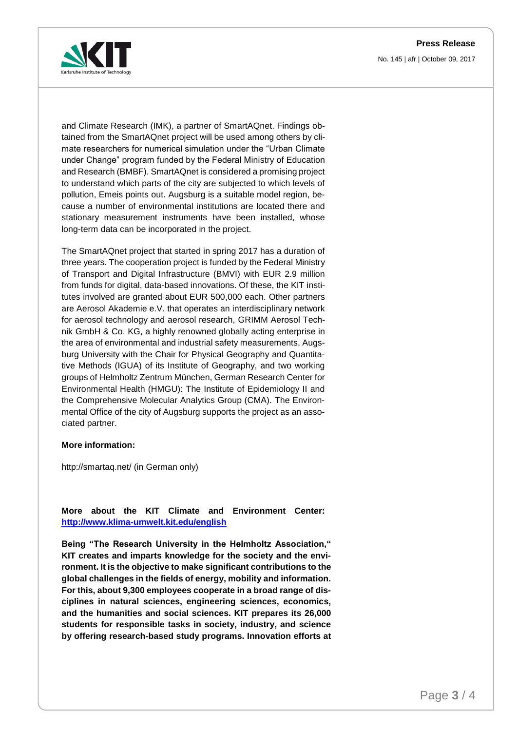



and Climate Research (IMK), a partner of SmartAQnet. Findings obtained from the SmartAQnet project will be used among others by climate researchers for numerical simulation under the "Urban Climate under Change" program funded by the Federal Ministry of Education and Research (BMBF). SmartAQnet is considered a promising project to understand which parts of the city are subjected to which levels of pollution, Emeis points out. Augsburg is a suitable model region, because a number of environmental institutions are located there and stationary measurement instruments have been installed, whose long-term data can be incorporated in the project.

The SmartAQnet project that started in spring 2017 has a duration of three years. The cooperation project is funded by the Federal Ministry of Transport and Digital Infrastructure (BMVI) with EUR 2.9 million from funds for digital, data-based innovations. Of these, the KIT institutes involved are granted about EUR 500,000 each. Other partners are Aerosol Akademie e.V. that operates an interdisciplinary network for aerosol technology and aerosol research, GRIMM Aerosol Technik GmbH & Co. KG, a highly renowned globally acting enterprise in the area of environmental and industrial safety measurements, Augsburg University with the Chair for Physical Geography and Quantitative Methods (IGUA) of its Institute of Geography, and two working groups of Helmholtz Zentrum München, German Research Center for Environmental Health (HMGU): The Institute of Epidemiology II and the Comprehensive Molecular Analytics Group (CMA). The Environmental Office of the city of Augsburg supports the project as an associated partner.

#### **More information:**

http://smartaq.net/ (in German only)

## **More about the KIT Climate and Environment Center: <http://www.klima-umwelt.kit.edu/english>**

**Being "The Research University in the Helmholtz Association," KIT creates and imparts knowledge for the society and the environment. It is the objective to make significant contributions to the global challenges in the fields of energy, mobility and information. For this, about 9,300 employees cooperate in a broad range of disciplines in natural sciences, engineering sciences, economics, and the humanities and social sciences. KIT prepares its 26,000 students for responsible tasks in society, industry, and science by offering research-based study programs. Innovation efforts at**